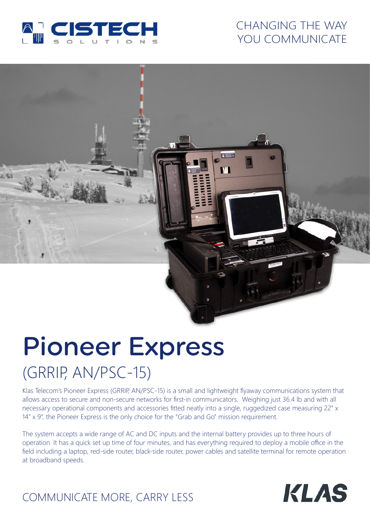

## CHANGING THE WAY YOU COMMUNICATE

# Pioneer Express (GRRIP, AN/PSC-15)

Klas Telecom's Pioneer Express (GRRIP, AN/PSC-15) is a small and lightweight flyaway communications system that allows access to secure and non-secure networks for first-in communicators. Weighing just 36.4 lb and with all necessary operational components and accessories fitted neatly into a single, ruggedized case measuring 22" x 14" x 9", the Pioneer Express is the only choice for the "Grab and Go" mission requirement.

 $\blacksquare$ 

The system accepts a wide range of AC and DC inputs and the internal battery provides up to three hours of operation. It has a quick set up time of four minutes, and has everything required to deploy a mobile office in the field including a laptop, red-side router, black-side router, power cables and satellite terminal for remote operation at broadband speeds.



# COMMUNICATE MORE, CARRY LESS